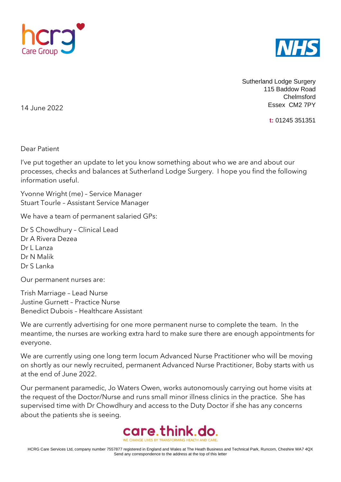



Sutherland Lodge Surgery 115 Baddow Road Chelmsford Essex CM2 7PY

**t:** 01245 351351

14 June 2022

Dear Patient

I've put together an update to let you know something about who we are and about our processes, checks and balances at Sutherland Lodge Surgery. I hope you find the following information useful.

Yvonne Wright (me) – Service Manager Stuart Tourle – Assistant Service Manager

We have a team of permanent salaried GPs:

Dr S Chowdhury – Clinical Lead Dr A Rivera Dezea Dr Llanza Dr N Malik Dr S Lanka

Our permanent nurses are:

Trish Marriage – Lead Nurse Justine Gurnett – Practice Nurse Benedict Dubois – Healthcare Assistant

We are currently advertising for one more permanent nurse to complete the team. In the meantime, the nurses are working extra hard to make sure there are enough appointments for everyone.

We are currently using one long term locum Advanced Nurse Practitioner who will be moving on shortly as our newly recruited, permanent Advanced Nurse Practitioner, Boby starts with us at the end of June 2022.

Our permanent paramedic, Jo Waters Owen, works autonomously carrying out home visits at the request of the Doctor/Nurse and runs small minor illness clinics in the practice. She has supervised time with Dr Chowdhury and access to the Duty Doctor if she has any concerns about the patients she is seeing.

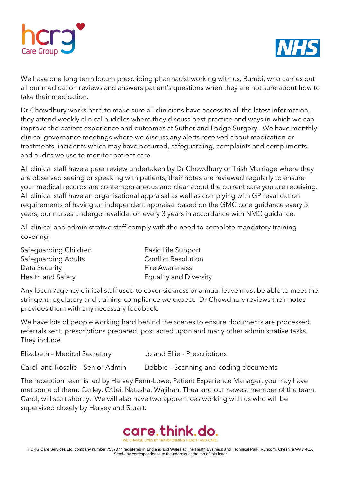



We have one long term locum prescribing pharmacist working with us, Rumbi, who carries out all our medication reviews and answers patient's questions when they are not sure about how to take their medication.

Dr Chowdhury works hard to make sure all clinicians have access to all the latest information, they attend weekly clinical huddles where they discuss best practice and ways in which we can improve the patient experience and outcomes at Sutherland Lodge Surgery. We have monthly clinical governance meetings where we discuss any alerts received about medication or treatments, incidents which may have occurred, safeguarding, complaints and compliments and audits we use to monitor patient care.

All clinical staff have a peer review undertaken by Dr Chowdhury or Trish Marriage where they are observed seeing or speaking with patients, their notes are reviewed regularly to ensure your medical records are contemporaneous and clear about the current care you are receiving. All clinical staff have an organisational appraisal as well as complying with GP revalidation requirements of having an independent appraisal based on the GMC core guidance every 5 years, our nurses undergo revalidation every 3 years in accordance with NMC guidance.

All clinical and administrative staff comply with the need to complete mandatory training covering:

| Safeguarding Children | <b>Basic Life Support</b>     |
|-----------------------|-------------------------------|
| Safeguarding Adults   | <b>Conflict Resolution</b>    |
| Data Security         | <b>Fire Awareness</b>         |
| Health and Safety     | <b>Equality and Diversity</b> |

Any locum/agency clinical staff used to cover sickness or annual leave must be able to meet the stringent regulatory and training compliance we expect. Dr Chowdhury reviews their notes provides them with any necessary feedback.

We have lots of people working hard behind the scenes to ensure documents are processed, referrals sent, prescriptions prepared, post acted upon and many other administrative tasks. They include

Elizabeth – Medical Secretary Jo and Ellie - Prescriptions

Carol and Rosalie – Senior Admin Debbie – Scanning and coding documents

The reception team is led by Harvey Fenn-Lowe, Patient Experience Manager, you may have met some of them; Carley, O'Jei, Natasha, Wajihah, Thea and our newest member of the team, Carol, will start shortly. We will also have two apprentices working with us who will be supervised closely by Harvey and Stuart.

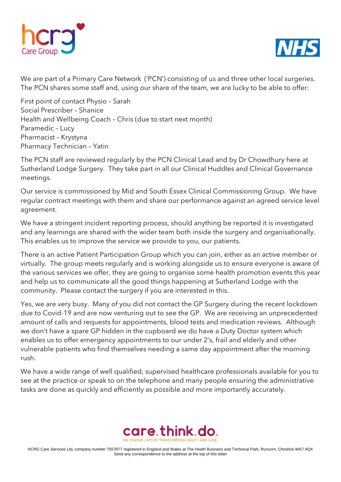



We are part of a Primary Care Network ('PCN') consisting of us and three other local surgeries. The PCN shares some staff and, using our share of the team, we are lucky to be able to offer:

First point of contact Physio – Sarah Social Prescriber – Shanice Health and Wellbeing Coach – Chris (due to start next month) Paramedic – Lucy Pharmacist – Krystyna Pharmacy Technician – Yatin

The PCN staff are reviewed regularly by the PCN Clinical Lead and by Dr Chowdhury here at Sutherland Lodge Surgery. They take part in all our Clinical Huddles and Clinical Governance meetings.

Our service is commissioned by Mid and South Essex Clinical Commissioning Group. We have regular contract meetings with them and share our performance against an agreed service level agreement.

We have a stringent incident reporting process, should anything be reported it is investigated and any learnings are shared with the wider team both inside the surgery and organisationally. This enables us to improve the service we provide to you, our patients.

There is an active Patient Participation Group which you can join, either as an active member or virtually. The group meets regularly and is working alongside us to ensure everyone is aware of the various services we offer, they are going to organise some health promotion events this year and help us to communicate all the good things happening at Sutherland Lodge with the community. Please contact the surgery if you are interested in this.

Yes, we are very busy. Many of you did not contact the GP Surgery during the recent lockdown due to Covid-19 and are now venturing out to see the GP. We are receiving an unprecedented amount of calls and requests for appointments, blood tests and medication reviews. Although we don't have a spare GP hidden in the cupboard we do have a Duty Doctor system which enables us to offer emergency appointments to our under 2's, frail and elderly and other vulnerable patients who find themselves needing a same day appointment after the morning rush.

We have a wide range of well qualified, supervised healthcare professionals available for you to see at the practice or speak to on the telephone and many people ensuring the administrative tasks are done as quickly and efficiently as possible *and* more importantly accurately.